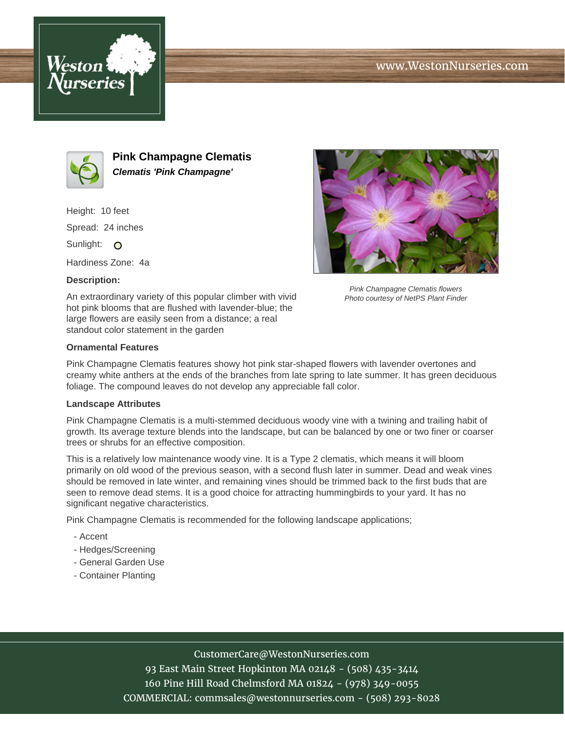



**Pink Champagne Clematis Clematis 'Pink Champagne'**

Height: 10 feet Spread: 24 inches Sunlight: O

Hardiness Zone: 4a

# **Description:**

An extraordinary variety of this popular climber with vivid hot pink blooms that are flushed with lavender-blue; the large flowers are easily seen from a distance; a real standout color statement in the garden



Pink Champagne Clematis flowers Photo courtesy of NetPS Plant Finder

## **Ornamental Features**

Pink Champagne Clematis features showy hot pink star-shaped flowers with lavender overtones and creamy white anthers at the ends of the branches from late spring to late summer. It has green deciduous foliage. The compound leaves do not develop any appreciable fall color.

#### **Landscape Attributes**

Pink Champagne Clematis is a multi-stemmed deciduous woody vine with a twining and trailing habit of growth. Its average texture blends into the landscape, but can be balanced by one or two finer or coarser trees or shrubs for an effective composition.

This is a relatively low maintenance woody vine. It is a Type 2 clematis, which means it will bloom primarily on old wood of the previous season, with a second flush later in summer. Dead and weak vines should be removed in late winter, and remaining vines should be trimmed back to the first buds that are seen to remove dead stems. It is a good choice for attracting hummingbirds to your yard. It has no significant negative characteristics.

Pink Champagne Clematis is recommended for the following landscape applications;

- Accent
- Hedges/Screening
- General Garden Use
- Container Planting

## CustomerCare@WestonNurseries.com

93 East Main Street Hopkinton MA 02148 - (508) 435-3414 160 Pine Hill Road Chelmsford MA 01824 - (978) 349-0055 COMMERCIAL: commsales@westonnurseries.com - (508) 293-8028